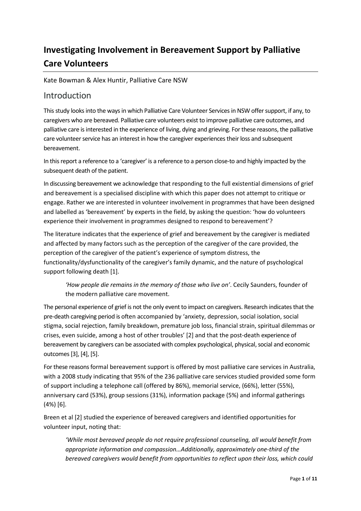# **Investigating Involvement in Bereavement Support by Palliative Care Volunteers**

Kate Bowman & Alex Huntir, Palliative Care NSW

### Introduction

This study looks into the ways in which Palliative Care Volunteer Services in NSW offer support, if any, to caregivers who are bereaved. Palliative care volunteers exist to improve palliative care outcomes, and palliative care is interested in the experience of living, dying and grieving. For these reasons, the palliative care volunteer service has an interest in how the caregiver experiences their loss and subsequent bereavement.

In this report a reference to a 'caregiver' is a reference to a person close-to and highly impacted by the subsequent death of the patient.

In discussing bereavement we acknowledge that responding to the full existential dimensions of grief and bereavement is a specialised discipline with which this paper does not attempt to critique or engage. Rather we are interested in volunteer involvement in programmes that have been designed and labelled as 'bereavement' by experts in the field, by asking the question: 'how do volunteers experience their involvement in programmes designed to respond to bereavement'?

The literature indicates that the experience of grief and bereavement by the caregiver is mediated and affected by many factors such as the perception of the caregiver of the care provided, the perception of the caregiver of the patient's experience of symptom distress, the functionality/dysfunctionality of the caregiver's family dynamic, and the nature of psychological support following death [1].

*'How people die remains in the memory of those who live on'*. Cecily Saunders, founder of the modern palliative care movement.

The personal experience of grief is not the only event to impact on caregivers. Research indicates that the pre-death caregiving period is often accompanied by 'anxiety, depression, social isolation, social stigma, social rejection, family breakdown, premature job loss, financial strain, spiritual dilemmas or crises, even suicide, among a host of other troubles' [2] and that the post-death experience of bereavement by caregivers can be associated with complex psychological, physical, social and economic outcomes [3], [4], [5].

For these reasons formal bereavement support is offered by most palliative care services in Australia, with a 2008 study indicating that 95% of the 236 palliative care services studied provided some form of support including a telephone call (offered by 86%), memorial service, (66%), letter (55%), anniversary card (53%), group sessions (31%), information package (5%) and informal gatherings (4%) [6].

Breen et al [2] studied the experience of bereaved caregivers and identified opportunities for volunteer input, noting that:

*'While most bereaved people do not require professional counseling, all would benefit from appropriate information and compassion…Additionally, approximately one-third of the bereaved caregivers would benefit from opportunities to reflect upon their loss, which could*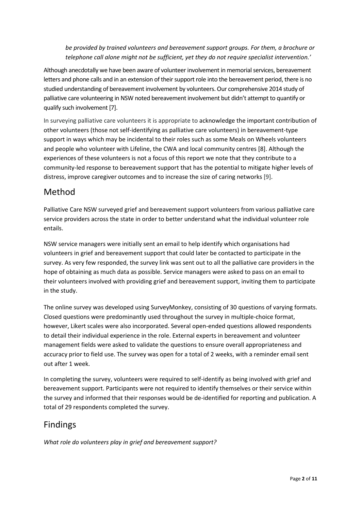*be provided by trained volunteers and bereavement support groups. For them, a brochure or telephone call alone might not be sufficient, yet they do not require specialist intervention.'*

Although anecdotally we have been aware of volunteer involvement in memorial services, bereavement letters and phone calls and in an extension of their support role into the bereavement period, there is no studied understanding of bereavement involvement by volunteers. Our comprehensive 2014 study of palliative care volunteering in NSW noted bereavement involvement but didn't attempt to quantify or qualify such involvement [7].

In surveying palliative care volunteers it is appropriate to acknowledge the important contribution of other volunteers (those not self-identifying as palliative care volunteers) in bereavement-type support in ways which may be incidental to their roles such as some Meals on Wheels volunteers and people who volunteer with Lifeline, the CWA and local community centres [8]. Although the experiences of these volunteers is not a focus of this report we note that they contribute to a community-led response to bereavement support that has the potential to mitigate higher levels of distress, improve caregiver outcomes and to increase the size of caring networks [9].

# Method

Palliative Care NSW surveyed grief and bereavement support volunteers from various palliative care service providers across the state in order to better understand what the individual volunteer role entails.

NSW service managers were initially sent an email to help identify which organisations had volunteers in grief and bereavement support that could later be contacted to participate in the survey. As very few responded, the survey link was sent out to all the palliative care providers in the hope of obtaining as much data as possible. Service managers were asked to pass on an email to their volunteers involved with providing grief and bereavement support, inviting them to participate in the study.

The online survey was developed using SurveyMonkey, consisting of 30 questions of varying formats. Closed questions were predominantly used throughout the survey in multiple-choice format, however, Likert scales were also incorporated. Several open-ended questions allowed respondents to detail their individual experience in the role. External experts in bereavement and volunteer management fields were asked to validate the questions to ensure overall appropriateness and accuracy prior to field use. The survey was open for a total of 2 weeks, with a reminder email sent out after 1 week.

In completing the survey, volunteers were required to self-identify as being involved with grief and bereavement support. Participants were not required to identify themselves or their service within the survey and informed that their responses would be de-identified for reporting and publication. A total of 29 respondents completed the survey.

# Findings

*What role do volunteers play in grief and bereavement support?*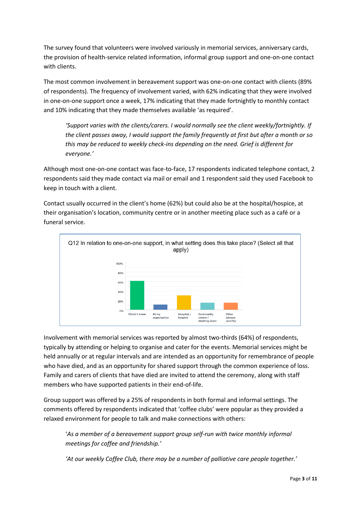The survey found that volunteers were involved variously in memorial services, anniversary cards, the provision of health-service related information, informal group support and one-on-one contact with clients.

The most common involvement in bereavement support was one-on-one contact with clients (89% of respondents). The frequency of involvement varied, with 62% indicating that they were involved in one-on-one support once a week, 17% indicating that they made fortnightly to monthly contact and 10% indicating that they made themselves available 'as required'.

*'Support varies with the clients/carers. I would normally see the client weekly/fortnightly. If the client passes away, I would support the family frequently at first but after a month or so this may be reduced to weekly check-ins depending on the need. Grief is different for everyone.'*

Although most one-on-one contact was face-to-face, 17 respondents indicated telephone contact, 2 respondents said they made contact via mail or email and 1 respondent said they used Facebook to keep in touch with a client.

Contact usually occurred in the client's home (62%) but could also be at the hospital/hospice, at their organisation's location, community centre or in another meeting place such as a café or a funeral service.



Involvement with memorial services was reported by almost two-thirds (64%) of respondents, typically by attending or helping to organise and cater for the events. Memorial services might be held annually or at regular intervals and are intended as an opportunity for remembrance of people who have died, and as an opportunity for shared support through the common experience of loss. Family and carers of clients that have died are invited to attend the ceremony, along with staff members who have supported patients in their end-of-life.

Group support was offered by a 25% of respondents in both formal and informal settings. The comments offered by respondents indicated that 'coffee clubs' were popular as they provided a relaxed environment for people to talk and make connections with others:

'*As a member of a bereavement support group self-run with twice monthly informal meetings for coffee and friendship.'*

*'At our weekly Coffee Club, there may be a number of palliative care people together.'*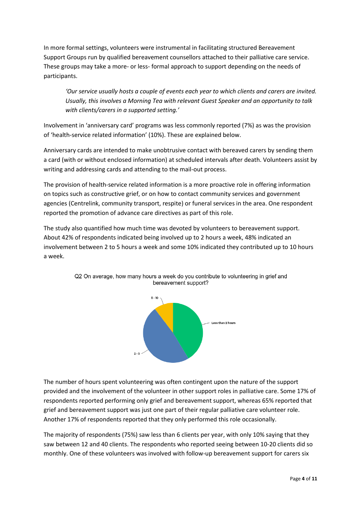In more formal settings, volunteers were instrumental in facilitating structured Bereavement Support Groups run by qualified bereavement counsellors attached to their palliative care service. These groups may take a more- or less- formal approach to support depending on the needs of participants.

*'Our service usually hosts a couple of events each year to which clients and carers are invited. Usually, this involves a Morning Tea with relevant Guest Speaker and an opportunity to talk with clients/carers in a supported setting.'*

Involvement in 'anniversary card' programs was less commonly reported (7%) as was the provision of 'health-service related information' (10%). These are explained below.

Anniversary cards are intended to make unobtrusive contact with bereaved carers by sending them a card (with or without enclosed information) at scheduled intervals after death. Volunteers assist by writing and addressing cards and attending to the mail-out process.

The provision of health-service related information is a more proactive role in offering information on topics such as constructive grief, or on how to contact community services and government agencies (Centrelink, community transport, respite) or funeral services in the area. One respondent reported the promotion of advance care directives as part of this role.

The study also quantified how much time was devoted by volunteers to bereavement support. About 42% of respondents indicated being involved up to 2 hours a week, 48% indicated an involvement between 2 to 5 hours a week and some 10% indicated they contributed up to 10 hours a week.





The number of hours spent volunteering was often contingent upon the nature of the support provided and the involvement of the volunteer in other support roles in palliative care. Some 17% of respondents reported performing only grief and bereavement support, whereas 65% reported that grief and bereavement support was just one part of their regular palliative care volunteer role. Another 17% of respondents reported that they only performed this role occasionally.

The majority of respondents (75%) saw less than 6 clients per year, with only 10% saying that they saw between 12 and 40 clients. The respondents who reported seeing between 10-20 clients did so monthly. One of these volunteers was involved with follow-up bereavement support for carers six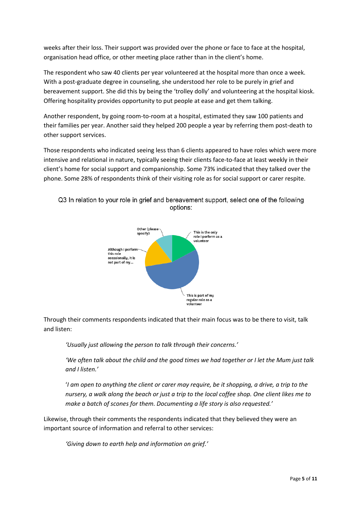weeks after their loss. Their support was provided over the phone or face to face at the hospital, organisation head office, or other meeting place rather than in the client's home.

The respondent who saw 40 clients per year volunteered at the hospital more than once a week. With a post-graduate degree in counseling, she understood her role to be purely in grief and bereavement support. She did this by being the 'trolley dolly' and volunteering at the hospital kiosk. Offering hospitality provides opportunity to put people at ease and get them talking.

Another respondent, by going room-to-room at a hospital, estimated they saw 100 patients and their families per year. Another said they helped 200 people a year by referring them post-death to other support services.

Those respondents who indicated seeing less than 6 clients appeared to have roles which were more intensive and relational in nature, typically seeing their clients face-to-face at least weekly in their client's home for social support and companionship. Some 73% indicated that they talked over the phone. Some 28% of respondents think of their visiting role as for social support or carer respite.



Q3 In relation to your role in grief and bereavement support, select one of the following options:

Through their comments respondents indicated that their main focus was to be there to visit, talk and listen:

*'Usually just allowing the person to talk through their concerns.'*

*'We often talk about the child and the good times we had together or I let the Mum just talk and I listen.'*

'*I am open to anything the client or carer may require, be it shopping, a drive, a trip to the nursery, a walk along the beach or just a trip to the local coffee shop. One client likes me to make a batch of scones for them. Documenting a life story is also requested.'*

Likewise, through their comments the respondents indicated that they believed they were an important source of information and referral to other services:

*'Giving down to earth help and information on grief.'*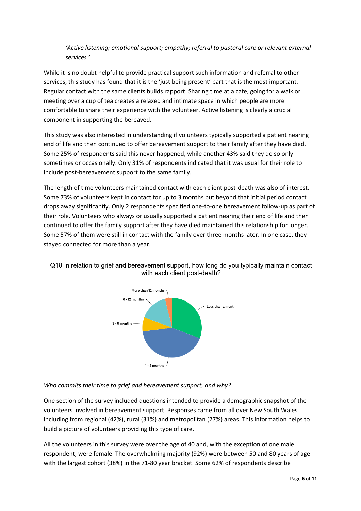#### *'Active listening; emotional support; empathy; referral to pastoral care or relevant external services.'*

While it is no doubt helpful to provide practical support such information and referral to other services, this study has found that it is the 'just being present' part that is the most important. Regular contact with the same clients builds rapport. Sharing time at a cafe, going for a walk or meeting over a cup of tea creates a relaxed and intimate space in which people are more comfortable to share their experience with the volunteer. Active listening is clearly a crucial component in supporting the bereaved.

This study was also interested in understanding if volunteers typically supported a patient nearing end of life and then continued to offer bereavement support to their family after they have died. Some 25% of respondents said this never happened, while another 43% said they do so only sometimes or occasionally. Only 31% of respondents indicated that it was usual for their role to include post-bereavement support to the same family.

The length of time volunteers maintained contact with each client post-death was also of interest. Some 73% of volunteers kept in contact for up to 3 months but beyond that initial period contact drops away significantly. Only 2 respondents specified one-to-one bereavement follow-up as part of their role. Volunteers who always or usually supported a patient nearing their end of life and then continued to offer the family support after they have died maintained this relationship for longer. Some 57% of them were still in contact with the family over three months later. In one case, they stayed connected for more than a year.



Q18 In relation to grief and bereavement support, how long do you typically maintain contact with each client post-death?

#### *Who commits their time to grief and bereavement support, and why?*

One section of the survey included questions intended to provide a demographic snapshot of the volunteers involved in bereavement support. Responses came from all over New South Wales including from regional (42%), rural (31%) and metropolitan (27%) areas. This information helps to build a picture of volunteers providing this type of care.

All the volunteers in this survey were over the age of 40 and, with the exception of one male respondent, were female. The overwhelming majority (92%) were between 50 and 80 years of age with the largest cohort (38%) in the 71-80 year bracket. Some 62% of respondents describe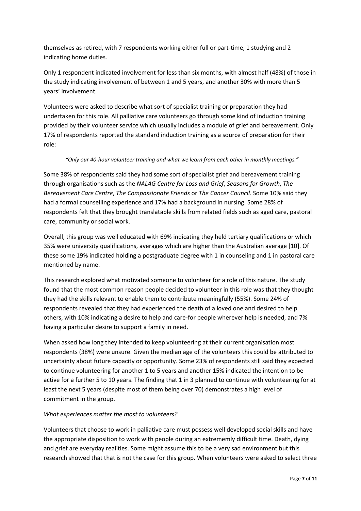themselves as retired, with 7 respondents working either full or part-time, 1 studying and 2 indicating home duties.

Only 1 respondent indicated involvement for less than six months, with almost half (48%) of those in the study indicating involvement of between 1 and 5 years, and another 30% with more than 5 years' involvement.

Volunteers were asked to describe what sort of specialist training or preparation they had undertaken for this role. All palliative care volunteers go through some kind of induction training provided by their volunteer service which usually includes a module of grief and bereavement. Only 17% of respondents reported the standard induction training as a source of preparation for their role:

#### *"Only our 40-hour volunteer training and what we learn from each other in monthly meetings."*

Some 38% of respondents said they had some sort of specialist grief and bereavement training through organisations such as the *NALAG Centre for Loss and Grief*, *Seasons for Growth*, *The Bereavement Care Centre*, *The Compassionate Friends* or *The Cancer Council*. Some 10% said they had a formal counselling experience and 17% had a background in nursing. Some 28% of respondents felt that they brought translatable skills from related fields such as aged care, pastoral care, community or social work.

Overall, this group was well educated with 69% indicating they held tertiary qualifications or which 35% were university qualifications, averages which are higher than the Australian average [10]. Of these some 19% indicated holding a postgraduate degree with 1 in counseling and 1 in pastoral care mentioned by name.

This research explored what motivated someone to volunteer for a role of this nature. The study found that the most common reason people decided to volunteer in this role was that they thought they had the skills relevant to enable them to contribute meaningfully (55%). Some 24% of respondents revealed that they had experienced the death of a loved one and desired to help others, with 10% indicating a desire to help and care-for people wherever help is needed, and 7% having a particular desire to support a family in need.

When asked how long they intended to keep volunteering at their current organisation most respondents (38%) were unsure. Given the median age of the volunteers this could be attributed to uncertainty about future capacity or opportunity. Some 23% of respondents still said they expected to continue volunteering for another 1 to 5 years and another 15% indicated the intention to be active for a further 5 to 10 years. The finding that 1 in 3 planned to continue with volunteering for at least the next 5 years (despite most of them being over 70) demonstrates a high level of commitment in the group.

#### *What experiences matter the most to volunteers?*

Volunteers that choose to work in palliative care must possess well developed social skills and have the appropriate disposition to work with people during an extrememly difficult time. Death, dying and grief are everyday realities. Some might assume this to be a very sad environment but this research showed that that is not the case for this group. When volunteers were asked to select three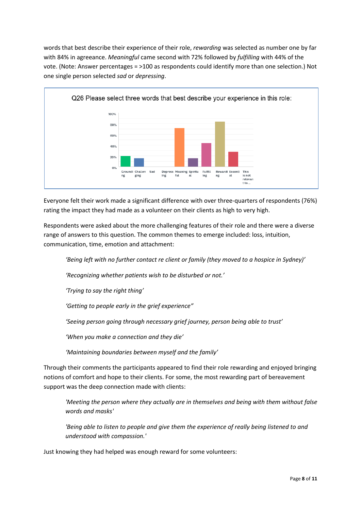words that best describe their experience of their role, *rewarding* was selected as number one by far with 84% in agreeance. *Meaningful* came second with 72% followed by *fulfilling* with 44% of the vote. (Note: Answer percentages = >100 as respondents could identify more than one selection.) Not one single person selected *sad* or *depressing*.



Everyone felt their work made a significant difference with over three-quarters of respondents (76%) rating the impact they had made as a volunteer on their clients as high to very high.

Respondents were asked about the more challenging features of their role and there were a diverse range of answers to this question. The common themes to emerge included: loss, intuition, communication, time, emotion and attachment:

*'Being left with no further contact re client or family (they moved to a hospice in Sydney)'*

*'Recognizing whether patients wish to be disturbed or not.'*

*'Trying to say the right thing'*

*'Getting to people early in the grief experience"*

*'Seeing person going through necessary grief journey, person being able to trust'*

*'When you make a connection and they die'*

*'Maintaining boundaries between myself and the family'*

Through their comments the participants appeared to find their role rewarding and enjoyed bringing notions of comfort and hope to their clients. For some, the most rewarding part of bereavement support was the deep connection made with clients:

*'Meeting the person where they actually are in themselves and being with them without false words and masks'*

*'Being able to listen to people and give them the experience of really being listened to and understood with compassion.'*

Just knowing they had helped was enough reward for some volunteers: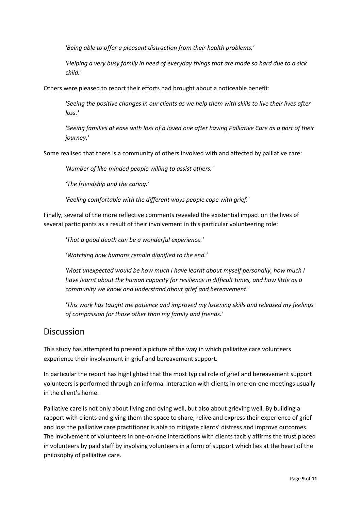*'Being able to offer a pleasant distraction from their health problems.'*

*'Helping a very busy family in need of everyday things that are made so hard due to a sick child.'*

Others were pleased to report their efforts had brought about a noticeable benefit:

*'Seeing the positive changes in our clients as we help them with skills to live their lives after loss.'*

*'Seeing families at ease with loss of a loved one after having Palliative Care as a part of their journey.'*

Some realised that there is a community of others involved with and affected by palliative care:

*'Number of like-minded people willing to assist others.'*

*'The friendship and the caring.'*

*'Feeling comfortable with the different ways people cope with grief.'*

Finally, several of the more reflective comments revealed the existential impact on the lives of several participants as a result of their involvement in this particular volunteering role:

*'That a good death can be a wonderful experience.'*

*'Watching how humans remain dignified to the end.'*

'Most unexpected would be how much I have learnt about myself personally, how much I *have learnt about the human capacity for resilience in difficult times, and how little as a community we know and understand about grief and bereavement.'*

*'This work has taught me patience and improved my listening skills and released my feelings of compassion for those other than my family and friends.'*

### Discussion

This study has attempted to present a picture of the way in which palliative care volunteers experience their involvement in grief and bereavement support.

In particular the report has highlighted that the most typical role of grief and bereavement support volunteers is performed through an informal interaction with clients in one-on-one meetings usually in the client's home.

Palliative care is not only about living and dying well, but also about grieving well. By building a rapport with clients and giving them the space to share, relive and express their experience of grief and loss the palliative care practitioner is able to mitigate clients' distress and improve outcomes. The involvement of volunteers in one-on-one interactions with clients tacitly affirms the trust placed in volunteers by paid staff by involving volunteers in a form of support which lies at the heart of the philosophy of palliative care.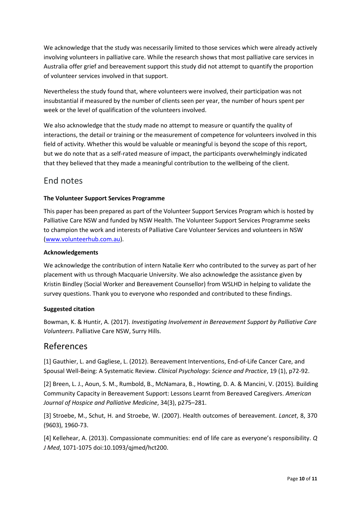We acknowledge that the study was necessarily limited to those services which were already actively involving volunteers in palliative care. While the research shows that most palliative care services in Australia offer grief and bereavement support this study did not attempt to quantify the proportion of volunteer services involved in that support.

Nevertheless the study found that, where volunteers were involved, their participation was not insubstantial if measured by the number of clients seen per year, the number of hours spent per week or the level of qualification of the volunteers involved.

We also acknowledge that the study made no attempt to measure or quantify the quality of interactions, the detail or training or the measurement of competence for volunteers involved in this field of activity. Whether this would be valuable or meaningful is beyond the scope of this report, but we do note that as a self-rated measure of impact, the participants overwhelmingly indicated that they believed that they made a meaningful contribution to the wellbeing of the client.

## End notes

#### **The Volunteer Support Services Programme**

This paper has been prepared as part of the Volunteer Support Services Program which is hosted by Palliative Care NSW and funded by NSW Health. The Volunteer Support Services Programme seeks to champion the work and interests of Palliative Care Volunteer Services and volunteers in NSW [\(www.volunteerhub.com.au\)](http://www.volunteerhub.com.au/).

#### **Acknowledgements**

We acknowledge the contribution of intern Natalie Kerr who contributed to the survey as part of her placement with us through Macquarie University. We also acknowledge the assistance given by Kristin Bindley (Social Worker and Bereavement Counsellor) from WSLHD in helping to validate the survey questions. Thank you to everyone who responded and contributed to these findings.

#### **Suggested citation**

Bowman, K. & Huntir, A. (2017). *Investigating Involvement in Bereavement Support by Palliative Care Volunteers*. Palliative Care NSW, Surry Hills.

### References

[1] Gauthier, L. and Gagliese, L. (2012). Bereavement Interventions, End-of-Life Cancer Care, and Spousal Well-Being: A Systematic Review. *Clinical Psychology: Science and Practice*, 19 (1), p72-92.

[2] Breen, L. J., Aoun, S. M., Rumbold, B., McNamara, B., Howting, D. A. & Mancini, V. (2015). Building Community Capacity in Bereavement Support: Lessons Learnt from Bereaved Caregivers. *American Journal of Hospice and Palliative Medicine*, 34(3), p275–281.

[3] Stroebe, M., Schut, H. and Stroebe, W. (2007). Health outcomes of bereavement. *Lancet*, 8, 370 (9603), 1960-73.

[4] Kellehear, A. (2013). Compassionate communities: end of life care as everyone's responsibility. *Q J Med*, 1071-1075 doi:10.1093/qjmed/hct200.